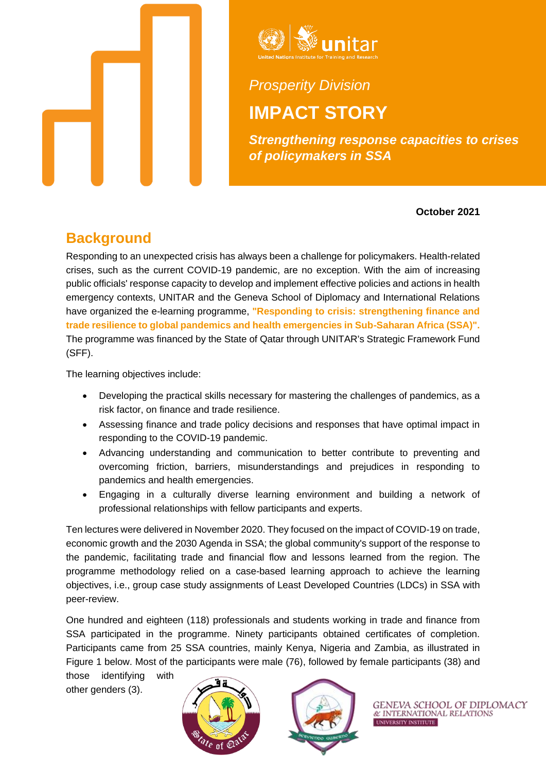



# *Prosperity Division* **IMPACT STORY**

*Strengthening response capacities to crises of policymakers in SSA* 

**October 2021**

### **Background**

Responding to an unexpected crisis has always been a challenge for policymakers. Health-related crises, such as the current COVID-19 pandemic, are no exception. With the aim of increasing public officials' response capacity to develop and implement effective policies and actions in health emergency contexts, UNITAR and the Geneva School of Diplomacy and International Relations have organized the e-learning programme, **"Responding to crisis: strengthening finance and trade resilience to global pandemics and health emergencies in Sub-Saharan Africa (SSA)".** The programme was financed by the State of Qatar through UNITAR's Strategic Framework Fund (SFF).

The learning objectives include:

- Developing the practical skills necessary for mastering the challenges of pandemics, as a risk factor, on finance and trade resilience.
- Assessing finance and trade policy decisions and responses that have optimal impact in responding to the COVID-19 pandemic.
- Advancing understanding and communication to better contribute to preventing and overcoming friction, barriers, misunderstandings and prejudices in responding to pandemics and health emergencies.
- Engaging in a culturally diverse learning environment and building a network of professional relationships with fellow participants and experts.

Ten lectures were delivered in November 2020. They focused on the impact of COVID-19 on trade, economic growth and the 2030 Agenda in SSA; the global community's support of the response to the pandemic, facilitating trade and financial flow and lessons learned from the region. The programme methodology relied on a case-based learning approach to achieve the learning objectives, i.e., group case study assignments of Least Developed Countries (LDCs) in SSA with peer-review.

One hundred and eighteen (118) professionals and students working in trade and finance from SSA participated in the programme. Ninety participants obtained certificates of completion. Participants came from 25 SSA countries, mainly Kenya, Nigeria and Zambia, as illustrated in Figure 1 below. Most of the participants were male (76), followed by female participants (38) and

those identifying with other genders (3).





GENEVA SCHOOL OF DIPLOMACY & INTERNATIONAL RELATIONS UNIVERSITY INSTITUTE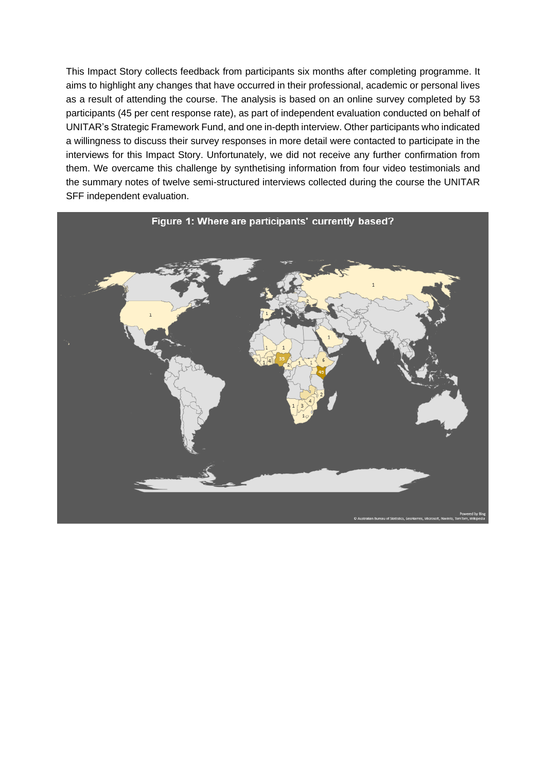This Impact Story collects feedback from participants six months after completing programme. It aims to highlight any changes that have occurred in their professional, academic or personal lives as a result of attending the course. The analysis is based on an online survey completed by 53 participants (45 per cent response rate), as part of independent evaluation conducted on behalf of UNITAR's Strategic Framework Fund, and one in-depth interview. Other participants who indicated a willingness to discuss their survey responses in more detail were contacted to participate in the interviews for this Impact Story. Unfortunately, we did not receive any further confirmation from them. We overcame this challenge by synthetising information from four video testimonials and the summary notes of twelve semi-structured interviews collected during the course the UNITAR SFF independent evaluation.

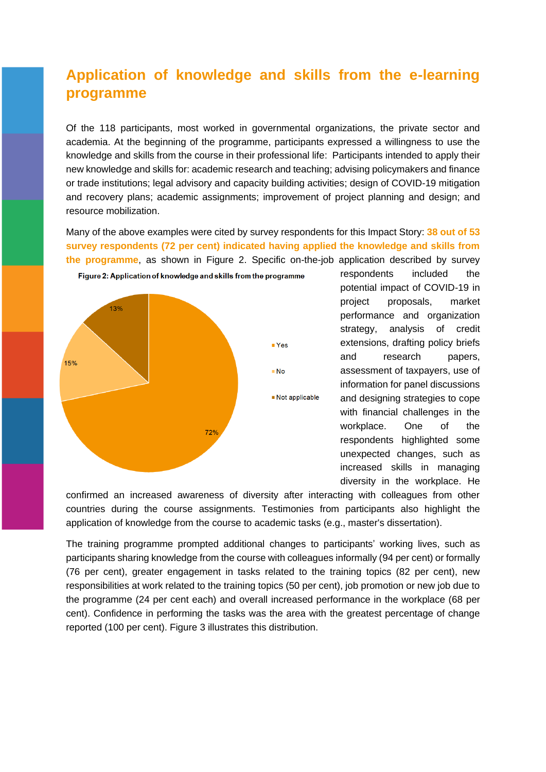### **Application of knowledge and skills from the e-learning programme**

Of the 118 participants, most worked in governmental organizations, the private sector and academia. At the beginning of the programme, participants expressed a willingness to use the knowledge and skills from the course in their professional life: Participants intended to apply their new knowledge and skills for: academic research and teaching; advising policymakers and finance or trade institutions; legal advisory and capacity building activities; design of COVID-19 mitigation and recovery plans; academic assignments; improvement of project planning and design; and resource mobilization.

Many of the above examples were cited by survey respondents for this Impact Story: **38 out of 53 survey respondents (72 per cent) indicated having applied the knowledge and skills from the programme**, as shown in Figure 2. Specific on-the-job application described by survey



respondents included the potential impact of COVID-19 in project proposals, market performance and organization strategy, analysis of credit extensions, drafting policy briefs and research papers, assessment of taxpayers, use of information for panel discussions and designing strategies to cope with financial challenges in the workplace. One of the respondents highlighted some unexpected changes, such as increased skills in managing diversity in the workplace. He

confirmed an increased awareness of diversity after interacting with colleagues from other countries during the course assignments. Testimonies from participants also highlight the application of knowledge from the course to academic tasks (e.g., master's dissertation).

The training programme prompted additional changes to participants' working lives, such as participants sharing knowledge from the course with colleagues informally (94 per cent) or formally (76 per cent), greater engagement in tasks related to the training topics (82 per cent), new responsibilities at work related to the training topics (50 per cent), job promotion or new job due to the programme (24 per cent each) and overall increased performance in the workplace (68 per cent). Confidence in performing the tasks was the area with the greatest percentage of change reported (100 per cent). Figure 3 illustrates this distribution.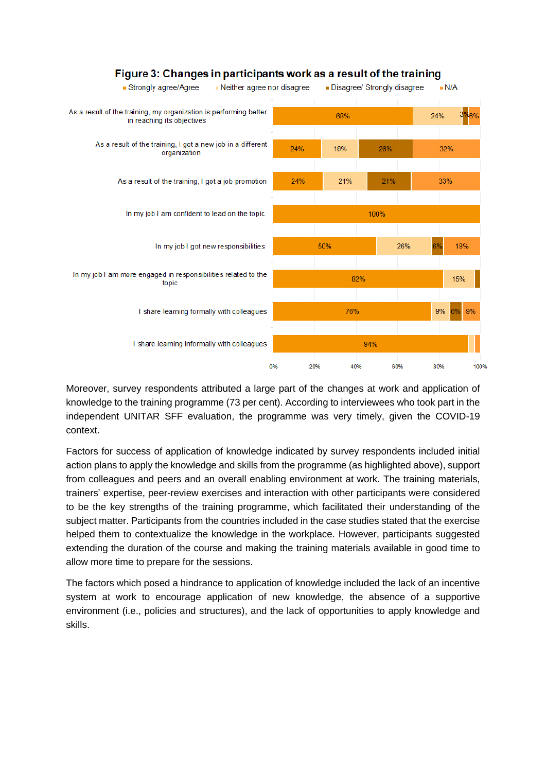

#### Figure 3: Changes in participants work as a result of the training

Moreover, survey respondents attributed a large part of the changes at work and application of knowledge to the training programme (73 per cent). According to interviewees who took part in the independent UNITAR SFF evaluation, the programme was very timely, given the COVID-19 context.

Factors for success of application of knowledge indicated by survey respondents included initial action plans to apply the knowledge and skills from the programme (as highlighted above), support from colleagues and peers and an overall enabling environment at work. The training materials, trainers' expertise, peer-review exercises and interaction with other participants were considered to be the key strengths of the training programme, which facilitated their understanding of the subject matter. Participants from the countries included in the case studies stated that the exercise helped them to contextualize the knowledge in the workplace. However, participants suggested extending the duration of the course and making the training materials available in good time to allow more time to prepare for the sessions.

The factors which posed a hindrance to application of knowledge included the lack of an incentive system at work to encourage application of new knowledge, the absence of a supportive environment (i.e., policies and structures), and the lack of opportunities to apply knowledge and skills.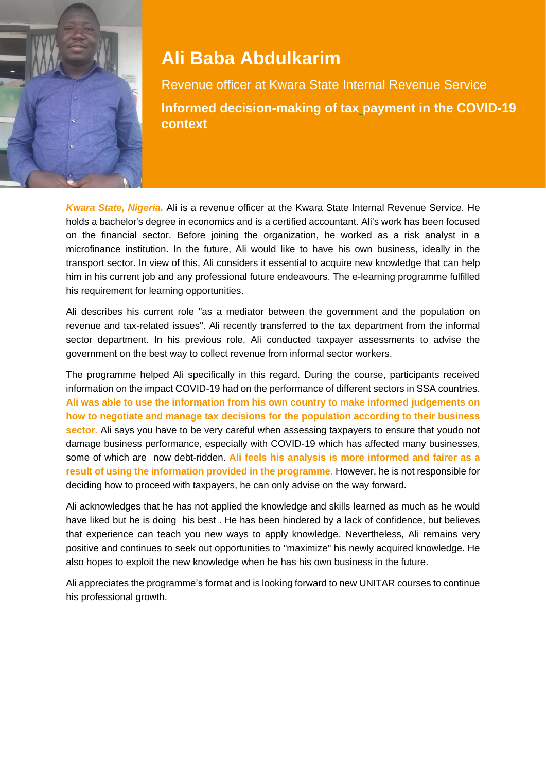

## **Ali Baba Abdulkarim**

Revenue officer at Kwara State Internal Revenue Service **Informed decision-making of tax payment in the COVID-19 context**

*Kwara State, Nigeria.* Ali is a revenue officer at the Kwara State Internal Revenue Service. He holds a bachelor's degree in economics and is a certified accountant. Ali's work has been focused on the financial sector. Before joining the organization, he worked as a risk analyst in a microfinance institution. In the future, Ali would like to have his own business, ideally in the transport sector. In view of this, Ali considers it essential to acquire new knowledge that can help him in his current job and any professional future endeavours. The e-learning programme fulfilled his requirement for learning opportunities.

Ali describes his current role "as a mediator between the government and the population on revenue and tax-related issues". Ali recently transferred to the tax department from the informal sector department. In his previous role, Ali conducted taxpayer assessments to advise the government on the best way to collect revenue from informal sector workers.

The programme helped Ali specifically in this regard. During the course, participants received information on the impact COVID-19 had on the performance of different sectors in SSA countries. **Ali was able to use the information from his own country to make informed judgements on how to negotiate and manage tax decisions for the population according to their business sector.** Ali says you have to be very careful when assessing taxpayers to ensure that youdo not damage business performance, especially with COVID-19 which has affected many businesses, some of which are now debt-ridden. **Ali feels his analysis is more informed and fairer as a result of using the information provided in the programme.** However, he is not responsible for deciding how to proceed with taxpayers, he can only advise on the way forward.

Ali acknowledges that he has not applied the knowledge and skills learned as much as he would have liked but he is doing his best . He has been hindered by a lack of confidence, but believes that experience can teach you new ways to apply knowledge. Nevertheless, Ali remains very positive and continues to seek out opportunities to "maximize" his newly acquired knowledge. He also hopes to exploit the new knowledge when he has his own business in the future.

Ali appreciates the programme's format and is looking forward to new UNITAR courses to continue his professional growth.